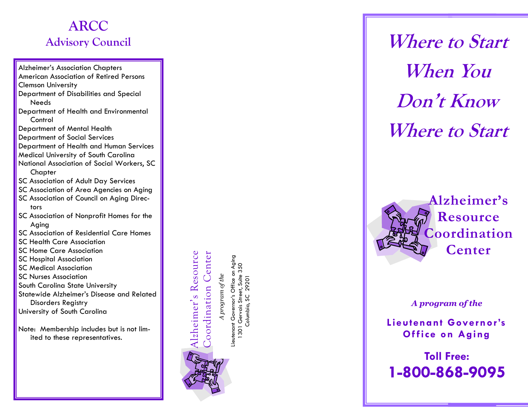# **ARCC Advisory Council**

Alzheimer's Association Chapters American Association of Retired Persons Clemson University Department of Disabilities and Special Needs Department of Health and Environmental **Control** Department of Mental Health Department of Social Services Department of Health and Human Services Medical University of South Carolina National Association of Social Workers, SC **Chapter** SC Association of Adult Day Services

- SC Association of Area Agencies on Aging
- SC Association of Council on Aging Directors
- SC Association of Nonprofit Homes for the Aging
- SC Association of Residential Care Homes
- SC Health Care Association
- SC Home Care Association
- SC Hospital Association
- SC Medical Association
- SC Nurses Association
- South Carolina State University
- Statewide Alzheimer's Disease and Related Disorders Registry
- University of South Carolina
- Note: Membership includes but is not limited to these representatives.

oordination Center Coordination Center

Alzheimer's Resource

Aging Lieutenant Governor's Office on Aging 1301 Gervais Street, Suite 350 Gervais Street, Suite 350 program of the *A program of the*29201 Columbia, SC 29201 ieutenant Governor's Office Columbia, SC  $\overline{30}$ 



**Where to Start When You Don't Know Where to Start**



*A program of the*

**Lieutenant Governor's Of fice on Aging**

**Toll Free: 1 -800 -868 -9095**